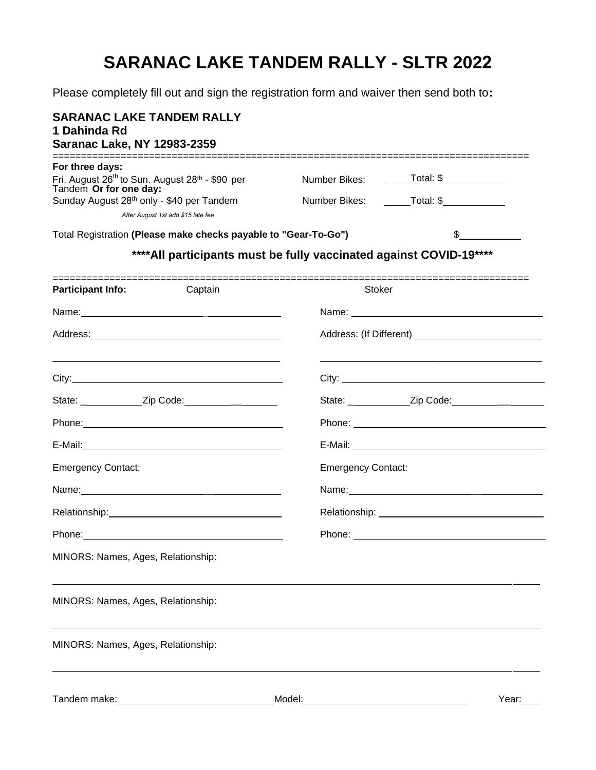# **SARANAC LAKE TANDEM RALLY - SLTR 2022**

Please completely fill out and sign the registration form and waiver then send both to**:** 

| <b>SARANAC LAKE TANDEM RALLY</b><br>1 Dahinda Rd<br><b>Saranac Lake, NY 12983-2359</b>                                                                                        |                           |                                                                                            |  |
|-------------------------------------------------------------------------------------------------------------------------------------------------------------------------------|---------------------------|--------------------------------------------------------------------------------------------|--|
| For three days:<br>Fri. August 26 <sup>th</sup> to Sun. August 28 <sup>th</sup> - \$90 per<br>Tandem Or for one day:<br>Sunday August 28 <sup>th</sup> only - \$40 per Tandem |                           | Number Bikes: _______Total: \$_____________<br>Number Bikes: _______Total: \$_____________ |  |
| After August 1st add \$15 late fee                                                                                                                                            |                           |                                                                                            |  |
| Total Registration (Please make checks payable to "Gear-To-Go")<br>**** All participants must be fully vaccinated against COVID-19 ****                                       |                           | \$                                                                                         |  |
| <b>Participant Info:</b><br>Captain                                                                                                                                           | Stoker                    |                                                                                            |  |
|                                                                                                                                                                               |                           |                                                                                            |  |
|                                                                                                                                                                               |                           |                                                                                            |  |
| <u> 1989 - Andrea Stadt Britain, actor a component de la componentación de la componentación de la componentación</u>                                                         |                           |                                                                                            |  |
|                                                                                                                                                                               |                           |                                                                                            |  |
|                                                                                                                                                                               |                           |                                                                                            |  |
|                                                                                                                                                                               |                           |                                                                                            |  |
| <b>Emergency Contact:</b>                                                                                                                                                     | <b>Emergency Contact:</b> |                                                                                            |  |
|                                                                                                                                                                               |                           |                                                                                            |  |
|                                                                                                                                                                               |                           |                                                                                            |  |
|                                                                                                                                                                               |                           |                                                                                            |  |
| MINORS: Names, Ages, Relationship:                                                                                                                                            |                           |                                                                                            |  |
| MINORS: Names, Ages, Relationship:                                                                                                                                            |                           |                                                                                            |  |
| MINORS: Names, Ages, Relationship:                                                                                                                                            |                           |                                                                                            |  |
| Tandem make:                                                                                                                                                                  | Model:                    | Year:                                                                                      |  |